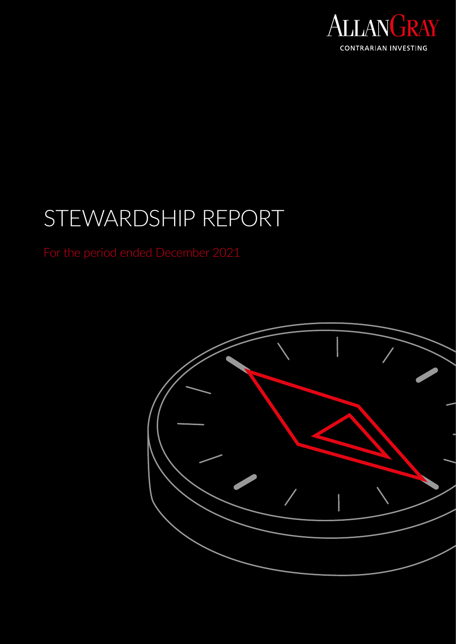

# STEWARDSHIP REPORT

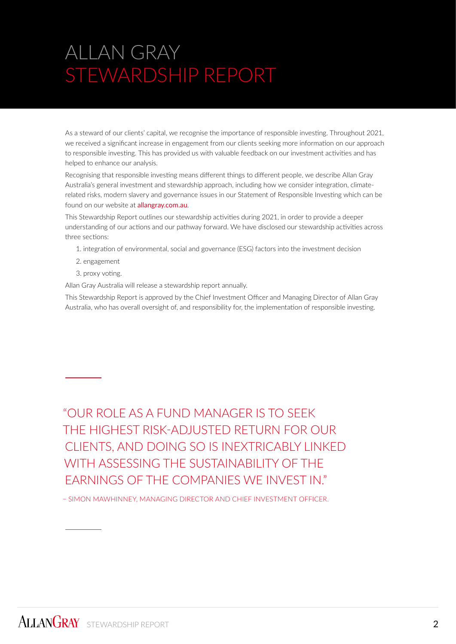## ALLAN GRAY STEWARDSHIP REPORT

As a steward of our clients' capital, we recognise the importance of responsible investing. Throughout 2021, we received a significant increase in engagement from our clients seeking more information on our approach to responsible investing. This has provided us with valuable feedback on our investment activities and has helped to enhance our analysis.

Recognising that responsible investing means different things to different people, we describe Allan Gray Australia's general investment and stewardship approach, including how we consider integration, climaterelated risks, modern slavery and governance issues in our Statement of Responsible Investing which can be found on our website at allangray.com.au.

This Stewardship Report outlines our stewardship activities during 2021, in order to provide a deeper understanding of our actions and our pathway forward. We have disclosed our stewardship activities across three sections:

- 1. integration of environmental, social and governance (ESG) factors into the investment decision
- 2. engagement
- 3. proxy voting.

Allan Gray Australia will release a stewardship report annually.

This Stewardship Report is approved by the Chief Investment Officer and Managing Director of Allan Gray Australia, who has overall oversight of, and responsibility for, the implementation of responsible investing.

"OUR ROLE AS A FUND MANAGER IS TO SEEK THE HIGHEST RISK-ADJUSTED RETURN FOR OUR CLIENTS, AND DOING SO IS INEXTRICABLY LINKED WITH ASSESSING THE SUSTAINABILITY OF THE EARNINGS OF THE COMPANIES WE INVEST IN."

– SIMON MAWHINNEY, MANAGING DIRECTOR AND CHIEF INVESTMENT OFFICER.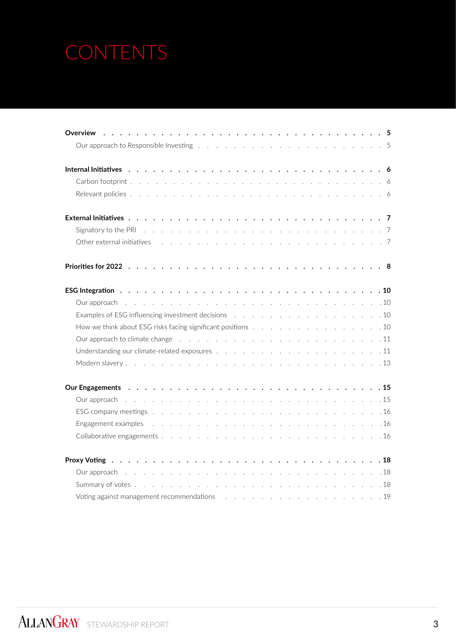## CONTENTS

| Overview                                                                                                                                                                                                                       |  |
|--------------------------------------------------------------------------------------------------------------------------------------------------------------------------------------------------------------------------------|--|
|                                                                                                                                                                                                                                |  |
|                                                                                                                                                                                                                                |  |
|                                                                                                                                                                                                                                |  |
|                                                                                                                                                                                                                                |  |
|                                                                                                                                                                                                                                |  |
| Signatory to the PRI $\cdots$ $\cdots$ $\cdots$ $\cdots$ $\cdots$ $\cdots$ $\cdots$ $\cdots$ $\cdots$ $\cdots$ $\cdots$ $\cdots$ $\cdots$ $\cdots$ $\cdots$                                                                    |  |
| Other external initiatives and a contract to contact the contract of the contract of the contract of the contract of the contract of the contract of the contract of the contract of the contract of the contract of the contr |  |
|                                                                                                                                                                                                                                |  |
|                                                                                                                                                                                                                                |  |
|                                                                                                                                                                                                                                |  |
| Examples of ESG influencing investment decisions resources and resources and resources of ESG influencing investment decisions resources and resources and resources and resources and resources and resources and resources a |  |
| How we think about ESG risks facing significant positions 10                                                                                                                                                                   |  |
| Our approach to climate change response to the contract of the contract of the contract of the contract of the contract of the contract of the contract of the contract of the contract of the contract of the contract of the |  |
|                                                                                                                                                                                                                                |  |
|                                                                                                                                                                                                                                |  |
|                                                                                                                                                                                                                                |  |
|                                                                                                                                                                                                                                |  |
|                                                                                                                                                                                                                                |  |
| Engagement examples entering the contract of the contract of the contract of the contract of the contract of the contract of the contract of the contract of the contract of the contract of the contract of the contract of t |  |
|                                                                                                                                                                                                                                |  |
|                                                                                                                                                                                                                                |  |
| Our approach in the contract of the contract of the contract of the contract of the contract of the contract of the contract of the contract of the contract of the contract of the contract of the contract of the contract o |  |
|                                                                                                                                                                                                                                |  |
| . 19                                                                                                                                                                                                                           |  |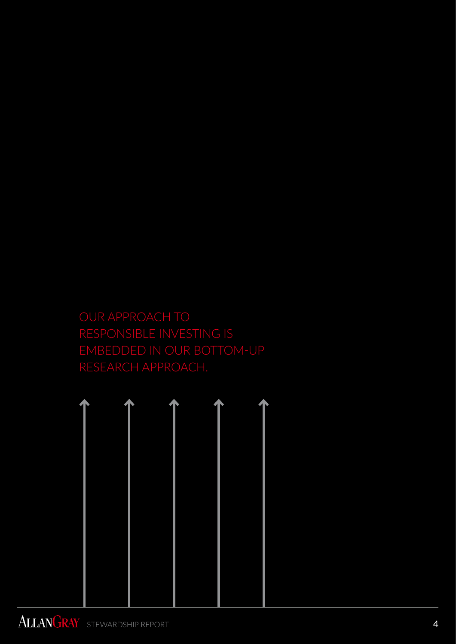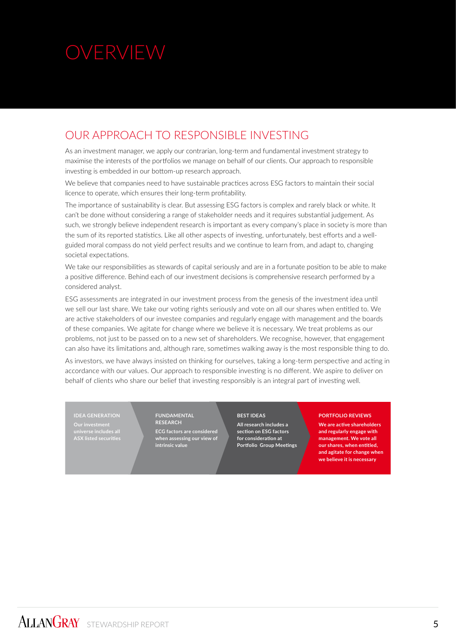## OVERVIEW

#### OUR APPROACH TO RESPONSIBLE INVESTING

As an investment manager, we apply our contrarian, long-term and fundamental investment strategy to maximise the interests of the portfolios we manage on behalf of our clients. Our approach to responsible investing is embedded in our bottom-up research approach.

We believe that companies need to have sustainable practices across ESG factors to maintain their social licence to operate, which ensures their long-term profitability.

The importance of sustainability is clear. But assessing ESG factors is complex and rarely black or white. It can't be done without considering a range of stakeholder needs and it requires substantial judgement. As such, we strongly believe independent research is important as every company's place in society is more than the sum of its reported statistics. Like all other aspects of investing, unfortunately, best efforts and a wellguided moral compass do not yield perfect results and we continue to learn from, and adapt to, changing societal expectations.

We take our responsibilities as stewards of capital seriously and are in a fortunate position to be able to make a positive difference. Behind each of our investment decisions is comprehensive research performed by a considered analyst.

ESG assessments are integrated in our investment process from the genesis of the investment idea until we sell our last share. We take our voting rights seriously and vote on all our shares when entitled to. We are active stakeholders of our investee companies and regularly engage with management and the boards of these companies. We agitate for change where we believe it is necessary. We treat problems as our problems, not just to be passed on to a new set of shareholders. We recognise, however, that engagement can also have its limitations and, although rare, sometimes walking away is the most responsible thing to do.

As investors, we have always insisted on thinking for ourselves, taking a long-term perspective and acting in accordance with our values. Our approach to responsible investing is no different. We aspire to deliver on behalf of clients who share our belief that investing responsibly is an integral part of investing well.

**IDEA GENERATION ASX listed securities** 

#### **FUNDAMENTAL RESEARCH ECG factors are considered when assessing our view of intrinsic value**

**BEST IDEAS All research includes a section on ESG factors for consideration at Portfolio Group Meetings** 

#### **PORTFOLIO REVIEWS**

**We are active shareholders and regularly engage with management. We vote all our shares, when entitled, and agitate for change when we believe it is necessary**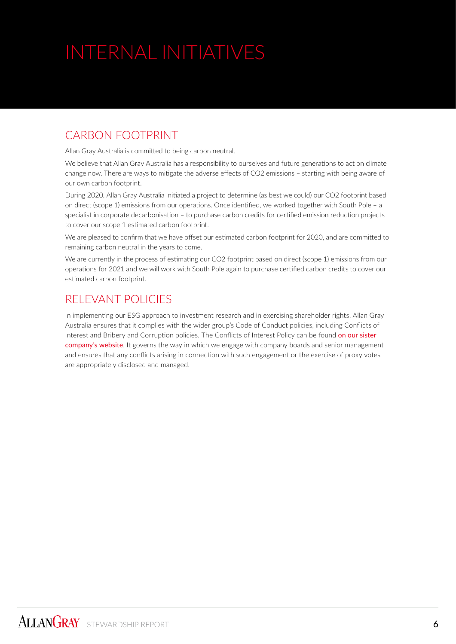## INTERNAL INITIATIVES

### CARBON FOOTPRINT

Allan Gray Australia is committed to being carbon neutral.

We believe that Allan Gray Australia has a responsibility to ourselves and future generations to act on climate change now. There are ways to mitigate the adverse effects of CO2 emissions – starting with being aware of our own carbon footprint.

During 2020, Allan Gray Australia initiated a project to determine (as best we could) our CO2 footprint based on direct (scope 1) emissions from our operations. Once identified, we worked together with South Pole – a specialist in corporate decarbonisation – to purchase carbon credits for certified emission reduction projects to cover our scope 1 estimated carbon footprint.

We are pleased to confirm that we have offset our estimated carbon footprint for 2020, and are committed to remaining carbon neutral in the years to come.

We are currently in the process of estimating our CO2 footprint based on direct (scope 1) emissions from our operations for 2021 and we will work with South Pole again to purchase certified carbon credits to cover our estimated carbon footprint.

## RELEVANT POLICIES

In implementing our ESG approach to investment research and in exercising shareholder rights, Allan Gray Australia ensures that it complies with the wider group's Code of Conduct policies, including Conflicts of Interest and Bribery and Corruption policies. The Conflicts of Interest Policy can be found on our sister company's website. It governs the way in which we engage with company boards and senior management and ensures that any conflicts arising in connection with such engagement or the exercise of proxy votes are appropriately disclosed and managed.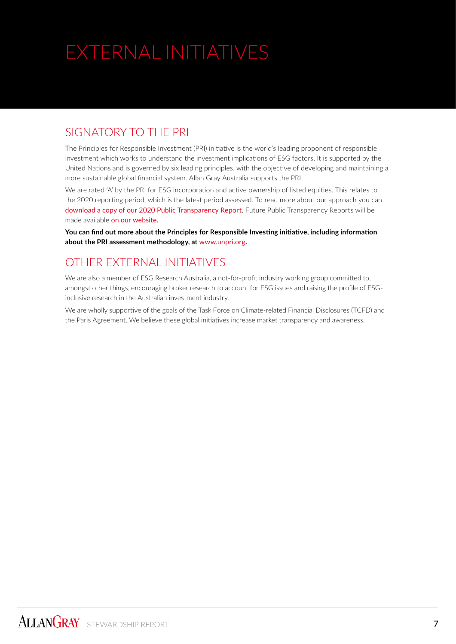## EXTERNAL INITIATIVES

## SIGNATORY TO THE PRI

The Principles for Responsible Investment (PRI) initiative is the world's leading proponent of responsible investment which works to understand the investment implications of ESG factors. It is supported by the United Nations and is governed by six leading principles, with the objective of developing and maintaining a more sustainable global financial system. Allan Gray Australia supports the PRI.

We are rated 'A' by the PRI for ESG incorporation and active ownership of listed equities. This relates to the 2020 reporting period, which is the latest period assessed. To read more about our approach you can download a copy of our 2020 Public Transparency Report. Future Public Transparency Reports will be made available on our website.

**You can find out more about the Principles for Responsible Investing initiative, including information about the PRI assessment methodology, at** www.unpri.org**.**

### OTHER EXTERNAL INITIATIVES

We are also a member of ESG Research Australia, a not-for-profit industry working group committed to, amongst other things, encouraging broker research to account for ESG issues and raising the profile of ESGinclusive research in the Australian investment industry.

We are wholly supportive of the goals of the Task Force on Climate-related Financial Disclosures (TCFD) and the Paris Agreement. We believe these global initiatives increase market transparency and awareness.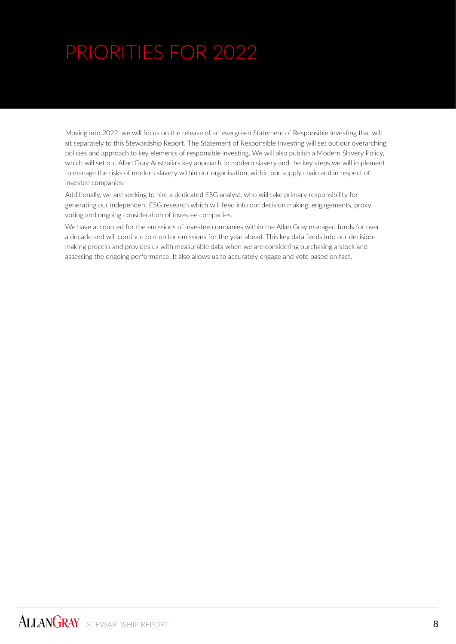## PRIORITIES FOR 2022

Moving into 2022, we will focus on the release of an evergreen Statement of Responsible Investing that will sit separately to this Stewardship Report. The Statement of Responsible Investing will set out our overarching policies and approach to key elements of responsible investing. We will also publish a Modern Slavery Policy, which will set out Allan Gray Australia's key approach to modern slavery and the key steps we will implement to manage the risks of modern slavery within our organisation, within our supply chain and in respect of investee companies.

Additionally, we are seeking to hire a dedicated ESG analyst, who will take primary responsibility for generating our independent ESG research which will feed into our decision making, engagements, proxy voting and ongoing consideration of investee companies.

We have accounted for the emissions of investee companies within the Allan Gray managed funds for over a decade and will continue to monitor emissions for the year ahead. This key data feeds into our decisionmaking process and provides us with measurable data when we are considering purchasing a stock and assessing the ongoing performance. It also allows us to accurately engage and vote based on fact.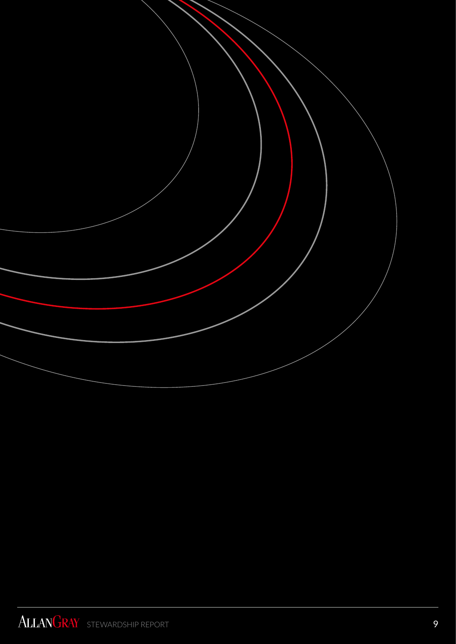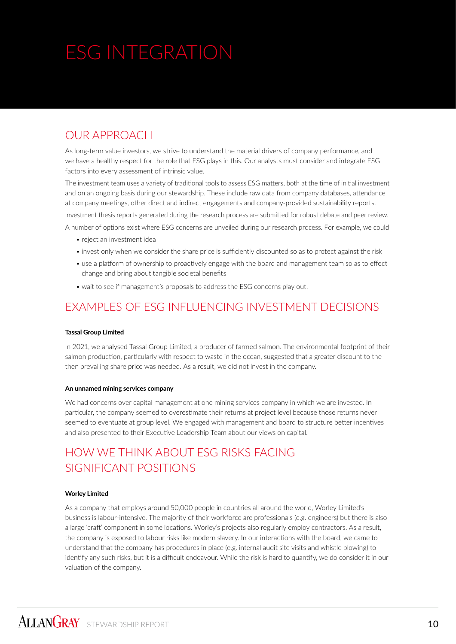## ESG INTEGRATION

#### OUR APPROACH

As long-term value investors, we strive to understand the material drivers of company performance, and we have a healthy respect for the role that ESG plays in this. Our analysts must consider and integrate ESG factors into every assessment of intrinsic value.

The investment team uses a variety of traditional tools to assess ESG matters, both at the time of initial investment and on an ongoing basis during our stewardship. These include raw data from company databases, attendance at company meetings, other direct and indirect engagements and company-provided sustainability reports.

Investment thesis reports generated during the research process are submitted for robust debate and peer review.

A number of options exist where ESG concerns are unveiled during our research process. For example, we could

- reject an investment idea
- invest only when we consider the share price is sufficiently discounted so as to protect against the risk
- use a platform of ownership to proactively engage with the board and management team so as to effect change and bring about tangible societal benefits
- wait to see if management's proposals to address the ESG concerns play out.

### EXAMPLES OF ESG INFLUENCING INVESTMENT DECISIONS

#### **Tassal Group Limited**

In 2021, we analysed Tassal Group Limited, a producer of farmed salmon. The environmental footprint of their salmon production, particularly with respect to waste in the ocean, suggested that a greater discount to the then prevailing share price was needed. As a result, we did not invest in the company.

#### **An unnamed mining services company**

We had concerns over capital management at one mining services company in which we are invested. In particular, the company seemed to overestimate their returns at project level because those returns never seemed to eventuate at group level. We engaged with management and board to structure better incentives and also presented to their Executive Leadership Team about our views on capital.

### HOW WE THINK ABOUT ESG RISKS FACING SIGNIFICANT POSITIONS

#### **Worley Limited**

As a company that employs around 50,000 people in countries all around the world, Worley Limited's business is labour-intensive. The majority of their workforce are professionals (e.g. engineers) but there is also a large 'craft' component in some locations. Worley's projects also regularly employ contractors. As a result, the company is exposed to labour risks like modern slavery. In our interactions with the board, we came to understand that the company has procedures in place (e.g. internal audit site visits and whistle blowing) to identify any such risks, but it is a difficult endeavour. While the risk is hard to quantify, we do consider it in our valuation of the company.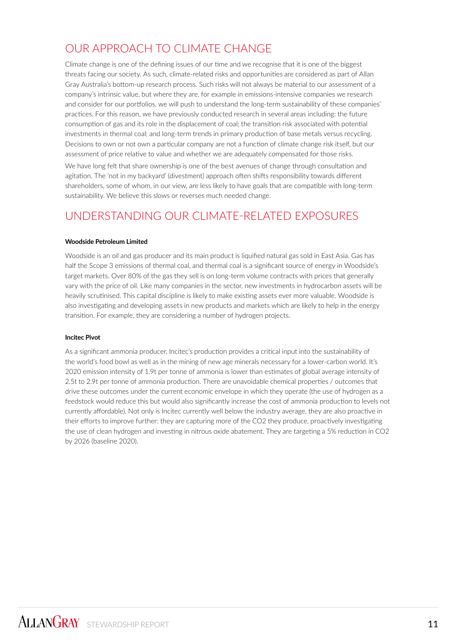## OUR APPROACH TO CLIMATE CHANGE

Climate change is one of the defining issues of our time and we recognise that it is one of the biggest threats facing our society. As such, climate-related risks and opportunities are considered as part of Allan Gray Australia's bottom-up research process. Such risks will not always be material to our assessment of a company's intrinsic value, but where they are, for example in emissions-intensive companies we research and consider for our portfolios, we will push to understand the long-term sustainability of these companies' practices. For this reason, we have previously conducted research in several areas including: the future consumption of gas and its role in the displacement of coal; the transition risk associated with potential investments in thermal coal; and long-term trends in primary production of base metals versus recycling. Decisions to own or not own a particular company are not a function of climate change risk itself, but our assessment of price relative to value and whether we are adequately compensated for those risks.

We have long felt that share ownership is one of the best avenues of change through consultation and agitation. The 'not in my backyard' (divestment) approach often shifts responsibility towards different shareholders, some of whom, in our view, are less likely to have goals that are compatible with long-term sustainability. We believe this slows or reverses much needed change.

### UNDERSTANDING OUR CLIMATE-RELATED EXPOSURES

#### **Woodside Petroleum Limited**

Woodside is an oil and gas producer and its main product is liquified natural gas sold in East Asia. Gas has half the Scope 3 emissions of thermal coal, and thermal coal is a significant source of energy in Woodside's target markets. Over 80% of the gas they sell is on long-term volume contracts with prices that generally vary with the price of oil. Like many companies in the sector, new investments in hydrocarbon assets will be heavily scrutinised. This capital discipline is likely to make existing assets ever more valuable. Woodside is also investigating and developing assets in new products and markets which are likely to help in the energy transition. For example, they are considering a number of hydrogen projects.

#### **Incitec Pivot**

As a significant ammonia producer, Incitec's production provides a critical input into the sustainability of the world's food bowl as well as in the mining of new age minerals necessary for a lower-carbon world. It's 2020 emission intensity of 1.9t per tonne of ammonia is lower than estimates of global average intensity of 2.5t to 2.9t per tonne of ammonia production. There are unavoidable chemical properties / outcomes that drive these outcomes under the current economic envelope in which they operate (the use of hydrogen as a feedstock would reduce this but would also significantly increase the cost of ammonia production to levels not currently affordable). Not only is Incitec currently well below the industry average, they are also proactive in their efforts to improve further: they are capturing more of the CO2 they produce, proactively investigating the use of clean hydrogen and investing in nitrous oxide abatement. They are targeting a 5% reduction in CO2 by 2026 (baseline 2020).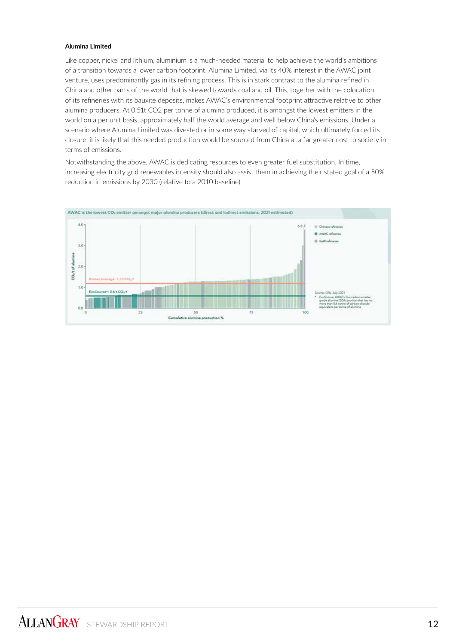#### **Alumina Limited**

Like copper, nickel and lithium, aluminium is a much-needed material to help achieve the world's ambitions of a transition towards a lower carbon footprint. Alumina Limited, via its 40% interest in the AWAC joint venture, uses predominantly gas in its refining process. This is in stark contrast to the alumina refined in China and other parts of the world that is skewed towards coal and oil. This, together with the colocation of its refineries with its bauxite deposits, makes AWAC's environmental footprint attractive relative to other alumina producers. At 0.51t CO2 per tonne of alumina produced, it is amongst the lowest emitters in the world on a per unit basis, approximately half the world average and well below China's emissions. Under a scenario where Alumina Limited was divested or in some way starved of capital, which ultimately forced its closure, it is likely that this needed production would be sourced from China at a far greater cost to society in terms of emissions.

Notwithstanding the above, AWAC is dedicating resources to even greater fuel substitution. In time, increasing electricity grid renewables intensity should also assist them in achieving their stated goal of a 50% reduction in emissions by 2030 (relative to a 2010 baseline).

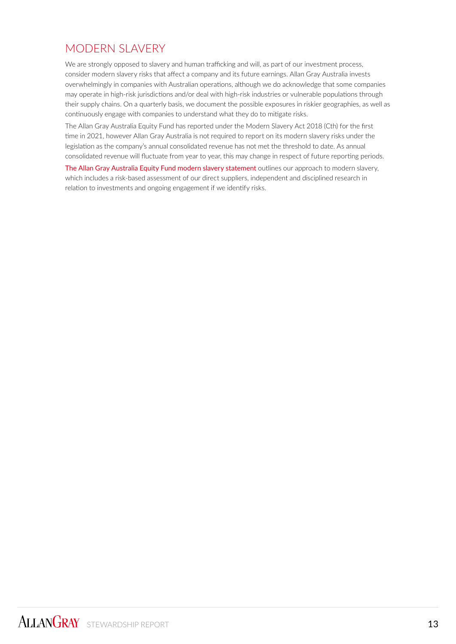### MODERN SLAVERY

We are strongly opposed to slavery and human trafficking and will, as part of our investment process, consider modern slavery risks that affect a company and its future earnings. Allan Gray Australia invests overwhelmingly in companies with Australian operations, although we do acknowledge that some companies may operate in high-risk jurisdictions and/or deal with high-risk industries or vulnerable populations through their supply chains. On a quarterly basis, we document the possible exposures in riskier geographies, as well as continuously engage with companies to understand what they do to mitigate risks.

The Allan Gray Australia Equity Fund has reported under the Modern Slavery Act 2018 (Cth) for the first time in 2021, however Allan Gray Australia is not required to report on its modern slavery risks under the legislation as the company's annual consolidated revenue has not met the threshold to date. As annual consolidated revenue will fluctuate from year to year, this may change in respect of future reporting periods.

The Allan Gray Australia Equity Fund modern slavery statement outlines our approach to modern slavery, which includes a risk-based assessment of our direct suppliers, independent and disciplined research in relation to investments and ongoing engagement if we identify risks.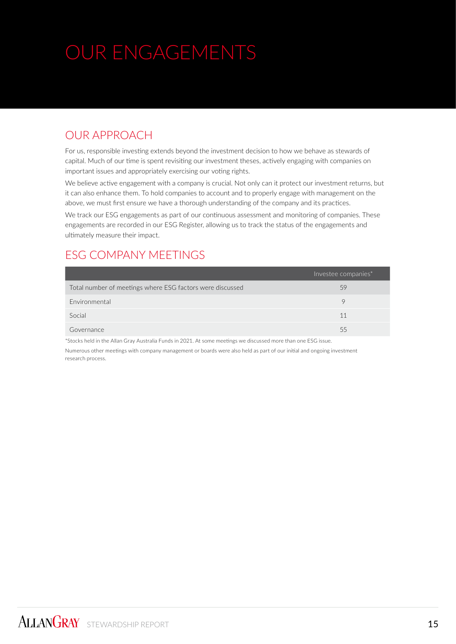## OUR ENGAGEMENTS

#### OUR APPROACH

For us, responsible investing extends beyond the investment decision to how we behave as stewards of capital. Much of our time is spent revisiting our investment theses, actively engaging with companies on important issues and appropriately exercising our voting rights.

We believe active engagement with a company is crucial. Not only can it protect our investment returns, but it can also enhance them. To hold companies to account and to properly engage with management on the above, we must first ensure we have a thorough understanding of the company and its practices.

We track our ESG engagements as part of our continuous assessment and monitoring of companies. These engagements are recorded in our ESG Register, allowing us to track the status of the engagements and ultimately measure their impact.

### ESG COMPANY MEETINGS

|                                                           | Investee companies* |
|-----------------------------------------------------------|---------------------|
| Total number of meetings where ESG factors were discussed | 59                  |
| Environmental                                             | 9                   |
| Social                                                    | 11                  |
| Governance                                                | 55                  |
|                                                           |                     |

\*Stocks held in the Allan Gray Australia Funds in 2021. At some meetings we discussed more than one ESG issue.

Numerous other meetings with company management or boards were also held as part of our initial and ongoing investment research process.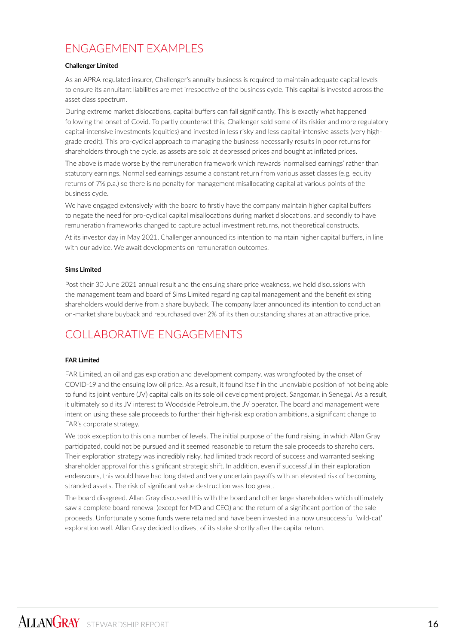### ENGAGEMENT EXAMPLES

#### **Challenger Limited**

As an APRA regulated insurer, Challenger's annuity business is required to maintain adequate capital levels to ensure its annuitant liabilities are met irrespective of the business cycle. This capital is invested across the asset class spectrum.

During extreme market dislocations, capital buffers can fall significantly. This is exactly what happened following the onset of Covid. To partly counteract this, Challenger sold some of its riskier and more regulatory capital-intensive investments (equities) and invested in less risky and less capital-intensive assets (very highgrade credit). This pro-cyclical approach to managing the business necessarily results in poor returns for shareholders through the cycle, as assets are sold at depressed prices and bought at inflated prices.

The above is made worse by the remuneration framework which rewards 'normalised earnings' rather than statutory earnings. Normalised earnings assume a constant return from various asset classes (e.g. equity returns of 7% p.a.) so there is no penalty for management misallocating capital at various points of the business cycle.

We have engaged extensively with the board to firstly have the company maintain higher capital buffers to negate the need for pro-cyclical capital misallocations during market dislocations, and secondly to have remuneration frameworks changed to capture actual investment returns, not theoretical constructs.

At its investor day in May 2021, Challenger announced its intention to maintain higher capital buffers, in line with our advice. We await developments on remuneration outcomes.

#### **Sims Limited**

Post their 30 June 2021 annual result and the ensuing share price weakness, we held discussions with the management team and board of Sims Limited regarding capital management and the benefit existing shareholders would derive from a share buyback. The company later announced its intention to conduct an on-market share buyback and repurchased over 2% of its then outstanding shares at an attractive price.

#### COLLABORATIVE ENGAGEMENTS

#### **FAR Limited**

FAR Limited, an oil and gas exploration and development company, was wrongfooted by the onset of COVID-19 and the ensuing low oil price. As a result, it found itself in the unenviable position of not being able to fund its joint venture (JV) capital calls on its sole oil development project, Sangomar, in Senegal. As a result, it ultimately sold its JV interest to Woodside Petroleum, the JV operator. The board and management were intent on using these sale proceeds to further their high-risk exploration ambitions, a significant change to FAR's corporate strategy.

We took exception to this on a number of levels. The initial purpose of the fund raising, in which Allan Gray participated, could not be pursued and it seemed reasonable to return the sale proceeds to shareholders. Their exploration strategy was incredibly risky, had limited track record of success and warranted seeking shareholder approval for this significant strategic shift. In addition, even if successful in their exploration endeavours, this would have had long dated and very uncertain payoffs with an elevated risk of becoming stranded assets. The risk of significant value destruction was too great.

The board disagreed. Allan Gray discussed this with the board and other large shareholders which ultimately saw a complete board renewal (except for MD and CEO) and the return of a significant portion of the sale proceeds. Unfortunately some funds were retained and have been invested in a now unsuccessful 'wild-cat' exploration well. Allan Gray decided to divest of its stake shortly after the capital return.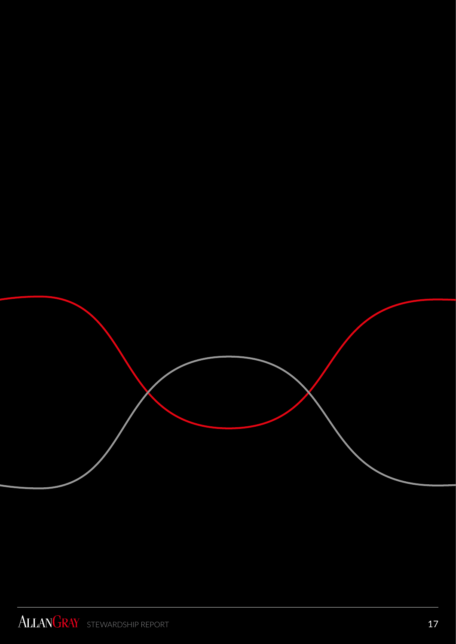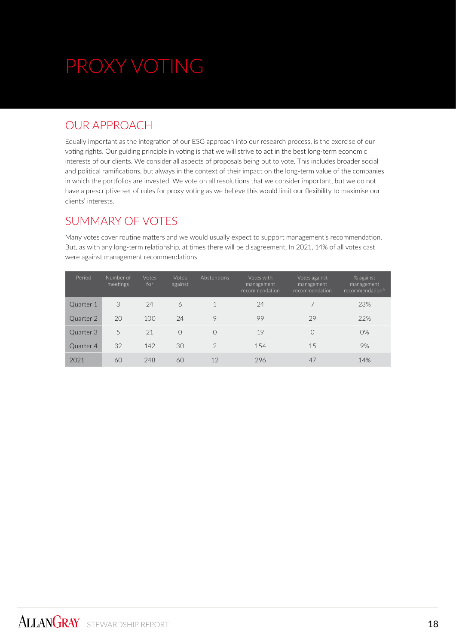# PROXY VOTING

## OUR APPROACH

Equally important as the integration of our ESG approach into our research process, is the exercise of our voting rights. Our guiding principle in voting is that we will strive to act in the best long-term economic interests of our clients. We consider all aspects of proposals being put to vote. This includes broader social and political ramifications, but always in the context of their impact on the long-term value of the companies in which the portfolios are invested. We vote on all resolutions that we consider important, but we do not have a prescriptive set of rules for proxy voting as we believe this would limit our flexibility to maximise our clients' interests.

### SUMMARY OF VOTES

Many votes cover routine matters and we would usually expect to support management's recommendation. But, as with any long-term relationship, at times there will be disagreement. In 2021, 14% of all votes cast were against management recommendations.

| Period    | Number of<br>meetings | Votes<br>for | Votes<br>against | Abstentions   | Votes with<br>management<br>recommendation | Votes against<br>management<br>recommendation | % against<br>management<br>recommendation^ |
|-----------|-----------------------|--------------|------------------|---------------|--------------------------------------------|-----------------------------------------------|--------------------------------------------|
| Quarter 1 | 3                     | 24           | 6                | 1             | 24                                         |                                               | 23%                                        |
| Quarter 2 | 20                    | 100          | 24               | 9             | 99                                         | 29                                            | 22%                                        |
| Quarter 3 | 5                     | 21           | $\bigcirc$       | $\bigcap$     | 19                                         | $\bigcap$                                     | 0%                                         |
| Quarter 4 | 32                    | 142          | 30               | $\mathcal{P}$ | 154                                        | 15                                            | 9%                                         |
| 2021      | 60                    | 248          | 60               | 12            | 296                                        | 47                                            | 14%                                        |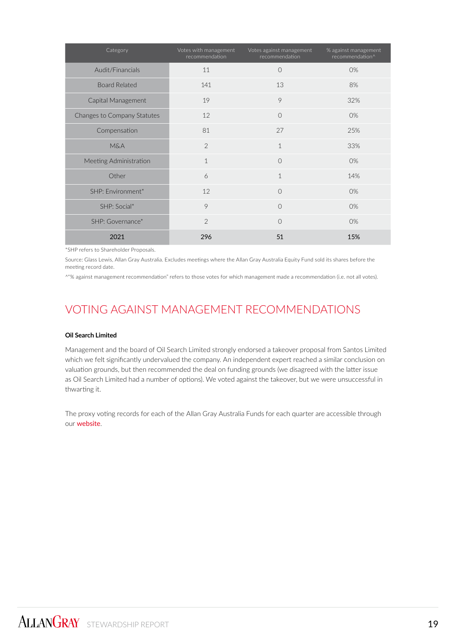| Category                    | Votes with management<br>recommendation | Votes against management<br>recommendation | % against management<br>recommendation^ |
|-----------------------------|-----------------------------------------|--------------------------------------------|-----------------------------------------|
| Audit/Financials            | 11                                      | $\circ$                                    | 0%                                      |
| <b>Board Related</b>        | 141                                     | 13                                         | 8%                                      |
| Capital Management          | 19                                      | 9                                          | 32%                                     |
| Changes to Company Statutes | 12                                      | $\circ$                                    | 0%                                      |
| Compensation                | 81                                      | 27                                         | 25%                                     |
| <b>M&amp;A</b>              | $\overline{2}$                          | $\mathbf{1}$                               | 33%                                     |
| Meeting Administration      | $\mathbf{1}$                            | $\circ$                                    | 0%                                      |
| Other                       | 6                                       | $\mathbf{1}$                               | 14%                                     |
| SHP: Environment*           | 12                                      | $\bigcirc$                                 | 0%                                      |
| SHP: Social*                | 9                                       | $\circ$                                    | 0%                                      |
| SHP: Governance*            | $\overline{2}$                          | $\circ$                                    | 0%                                      |
| 2021                        | 296                                     | 51                                         | 15%                                     |

\*SHP refers to Shareholder Proposals.

Source: Glass Lewis, Allan Gray Australia. Excludes meetings where the Allan Gray Australia Equity Fund sold its shares before the meeting record date.

^"% against management recommendation" refers to those votes for which management made a recommendation (i.e. not all votes).

### VOTING AGAINST MANAGEMENT RECOMMENDATIONS

#### **Oil Search Limited**

Management and the board of Oil Search Limited strongly endorsed a takeover proposal from Santos Limited which we felt significantly undervalued the company. An independent expert reached a similar conclusion on valuation grounds, but then recommended the deal on funding grounds (we disagreed with the latter issue as Oil Search Limited had a number of options). We voted against the takeover, but we were unsuccessful in thwarting it.

The proxy voting records for each of the Allan Gray Australia Funds for each quarter are accessible through our website.